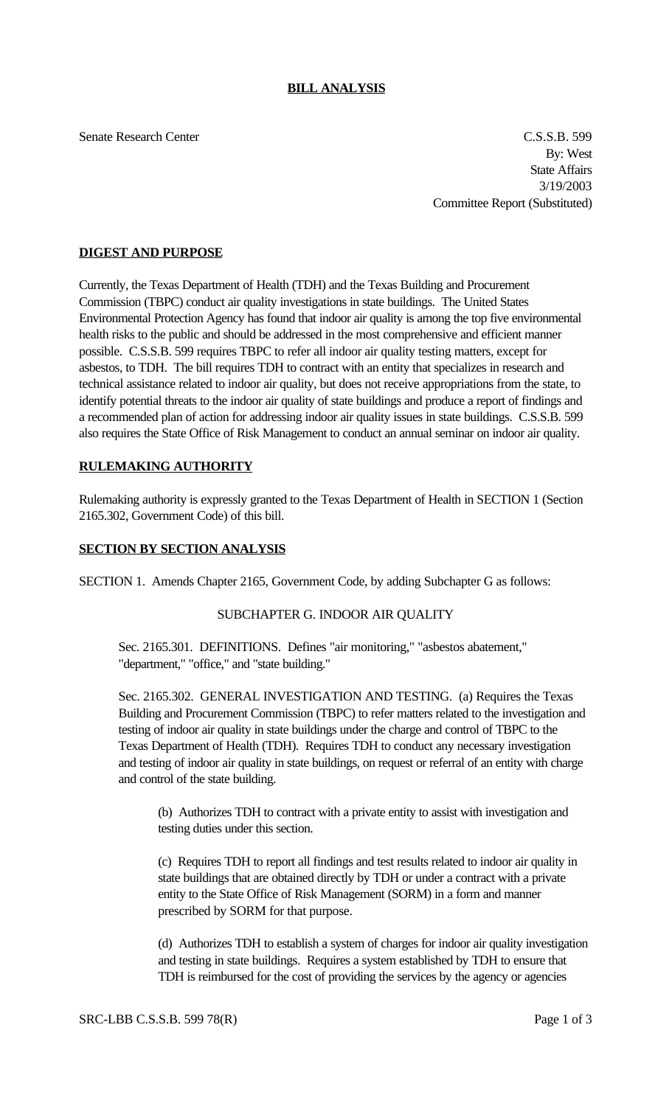## **BILL ANALYSIS**

Senate Research Center C.S.S.B. 599 By: West State Affairs 3/19/2003 Committee Report (Substituted)

## **DIGEST AND PURPOSE**

Currently, the Texas Department of Health (TDH) and the Texas Building and Procurement Commission (TBPC) conduct air quality investigations in state buildings. The United States Environmental Protection Agency has found that indoor air quality is among the top five environmental health risks to the public and should be addressed in the most comprehensive and efficient manner possible. C.S.S.B. 599 requires TBPC to refer all indoor air quality testing matters, except for asbestos, to TDH. The bill requires TDH to contract with an entity that specializes in research and technical assistance related to indoor air quality, but does not receive appropriations from the state, to identify potential threats to the indoor air quality of state buildings and produce a report of findings and a recommended plan of action for addressing indoor air quality issues in state buildings. C.S.S.B. 599 also requires the State Office of Risk Management to conduct an annual seminar on indoor air quality.

## **RULEMAKING AUTHORITY**

Rulemaking authority is expressly granted to the Texas Department of Health in SECTION 1 (Section 2165.302, Government Code) of this bill.

#### **SECTION BY SECTION ANALYSIS**

SECTION 1. Amends Chapter 2165, Government Code, by adding Subchapter G as follows:

## SUBCHAPTER G. INDOOR AIR QUALITY

Sec. 2165.301. DEFINITIONS. Defines "air monitoring," "asbestos abatement," "department," "office," and "state building."

Sec. 2165.302. GENERAL INVESTIGATION AND TESTING. (a) Requires the Texas Building and Procurement Commission (TBPC) to refer matters related to the investigation and testing of indoor air quality in state buildings under the charge and control of TBPC to the Texas Department of Health (TDH). Requires TDH to conduct any necessary investigation and testing of indoor air quality in state buildings, on request or referral of an entity with charge and control of the state building.

(b) Authorizes TDH to contract with a private entity to assist with investigation and testing duties under this section.

(c) Requires TDH to report all findings and test results related to indoor air quality in state buildings that are obtained directly by TDH or under a contract with a private entity to the State Office of Risk Management (SORM) in a form and manner prescribed by SORM for that purpose.

(d) Authorizes TDH to establish a system of charges for indoor air quality investigation and testing in state buildings. Requires a system established by TDH to ensure that TDH is reimbursed for the cost of providing the services by the agency or agencies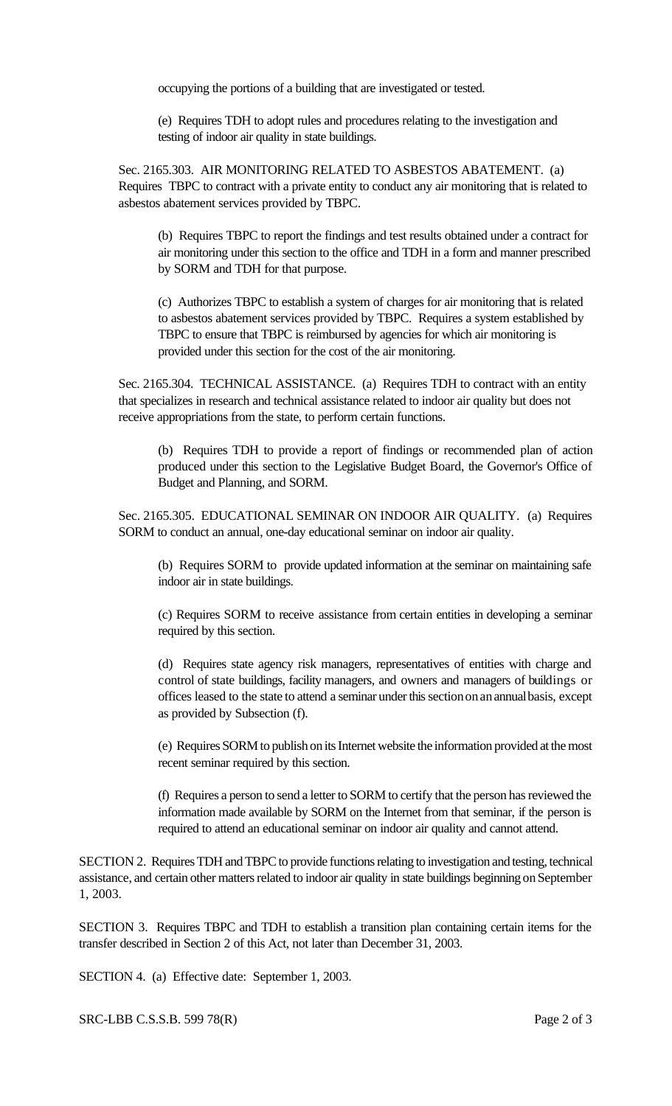occupying the portions of a building that are investigated or tested.

(e) Requires TDH to adopt rules and procedures relating to the investigation and testing of indoor air quality in state buildings.

Sec. 2165.303. AIR MONITORING RELATED TO ASBESTOS ABATEMENT. (a) Requires TBPC to contract with a private entity to conduct any air monitoring that is related to asbestos abatement services provided by TBPC.

(b) Requires TBPC to report the findings and test results obtained under a contract for air monitoring under this section to the office and TDH in a form and manner prescribed by SORM and TDH for that purpose.

(c) Authorizes TBPC to establish a system of charges for air monitoring that is related to asbestos abatement services provided by TBPC. Requires a system established by TBPC to ensure that TBPC is reimbursed by agencies for which air monitoring is provided under this section for the cost of the air monitoring.

Sec. 2165.304. TECHNICAL ASSISTANCE. (a) Requires TDH to contract with an entity that specializes in research and technical assistance related to indoor air quality but does not receive appropriations from the state, to perform certain functions.

(b) Requires TDH to provide a report of findings or recommended plan of action produced under this section to the Legislative Budget Board, the Governor's Office of Budget and Planning, and SORM.

Sec. 2165.305. EDUCATIONAL SEMINAR ON INDOOR AIR QUALITY. (a) Requires SORM to conduct an annual, one-day educational seminar on indoor air quality.

(b) Requires SORM to provide updated information at the seminar on maintaining safe indoor air in state buildings.

(c) Requires SORM to receive assistance from certain entities in developing a seminar required by this section.

(d) Requires state agency risk managers, representatives of entities with charge and control of state buildings, facility managers, and owners and managers of buildings or offices leased to the state to attend a seminar under this section on an annual basis, except as provided by Subsection (f).

(e) Requires SORM to publish on its Internet website the information provided at the most recent seminar required by this section.

(f) Requires a person to send a letter to SORM to certify that the person has reviewed the information made available by SORM on the Internet from that seminar, if the person is required to attend an educational seminar on indoor air quality and cannot attend.

SECTION 2. Requires TDH and TBPC to provide functions relating to investigation and testing, technical assistance, and certain other matters related to indoor air quality in state buildings beginning on September 1, 2003.

SECTION 3. Requires TBPC and TDH to establish a transition plan containing certain items for the transfer described in Section 2 of this Act, not later than December 31, 2003.

SECTION 4. (a) Effective date: September 1, 2003.

SRC-LBB C.S.S.B. 599 78(R) Page 2 of 3